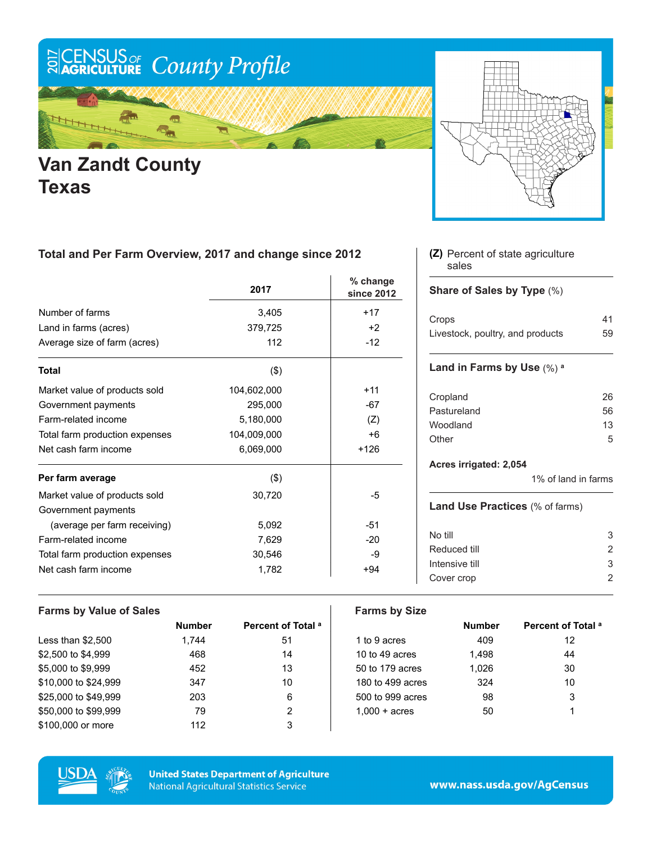

## **Van Zandt County Texas**



### **Total and Per Farm Overview, 2017 and change since 2012**

|                                | 2017        | % change<br>since 2012 |
|--------------------------------|-------------|------------------------|
| Number of farms                | 3,405       | $+17$                  |
| Land in farms (acres)          | 379,725     | $+2$                   |
| Average size of farm (acres)   | 112         | $-12$                  |
| <b>Total</b>                   | $($ \$)     |                        |
| Market value of products sold  | 104,602,000 | $+11$                  |
| Government payments            | 295,000     | $-67$                  |
| Farm-related income            | 5,180,000   | (Z)                    |
| Total farm production expenses | 104,009,000 | $+6$                   |
| Net cash farm income           | 6,069,000   | $+126$                 |
| Per farm average               | $($ \$)     |                        |
| Market value of products sold  | 30,720      | -5                     |
| Government payments            |             |                        |
| (average per farm receiving)   | 5,092       | -51                    |
| Farm-related income            | 7,629       | $-20$                  |
| Total farm production expenses | 30,546      | -9                     |
| Net cash farm income           | 1,782       | $+94$                  |

#### **Farms by Value of Sales Farms by Size**

| <b>Number</b> | Percent of Total <sup>a</sup> |                        | <b>Number</b> | Percent of |
|---------------|-------------------------------|------------------------|---------------|------------|
| 1,744         | 51                            | 1 to 9 acres           | 409           | 12         |
| 468           | 14                            | 10 to 49 acres         | 1.498         | 44         |
| 452           | 13                            | 50 to 179 acres        | 1.026         | 30         |
| 347           | 10                            | 180 to 499 acres       | 324           | 10         |
| 203           | 6                             | 500 to 999 acres       | 98            | 3          |
| 79            | 2                             | $1.000 + \text{acres}$ | 50            |            |
| 112           | 3                             |                        |               |            |
|               |                               |                        |               |            |

| Number | Percent of Total <sup>a</sup> |                        | <b>Number</b> | Percent of Total <sup>a</sup> |
|--------|-------------------------------|------------------------|---------------|-------------------------------|
| 1.744  | 51                            | 1 to 9 acres           | 409           | 12                            |
| 468    | 14                            | 10 to 49 acres         | 1.498         | 44                            |
| 452    | 13                            | 50 to 179 acres        | 1,026         | 30                            |
| 347    | 10                            | 180 to 499 acres       | 324           | 10                            |
| 203    | 6                             | 500 to 999 acres       | 98            | 3                             |
| 79     |                               | $1.000 + \text{acres}$ | 50            |                               |
|        |                               |                        |               |                               |



**United States Department of Agriculture National Agricultural Statistics Service** 

#### Percent of state agriculture **(Z)** sales

#### **Share of Sales by Type** (%)

| Crops                            | 41 |
|----------------------------------|----|
| Livestock, poultry, and products | 59 |

#### **Land in Farms by Use** (%) **<sup>a</sup>**

| 26  |
|-----|
| 56. |
| 13  |
| 5.  |
|     |

#### **Acres irrigated: 2,054**

1% of land in farms

#### **Land Use Practices** (% of farms)

| No till        | 3 |
|----------------|---|
| Reduced till   |   |
| Intensive till | 3 |
| Cover crop     |   |
|                |   |